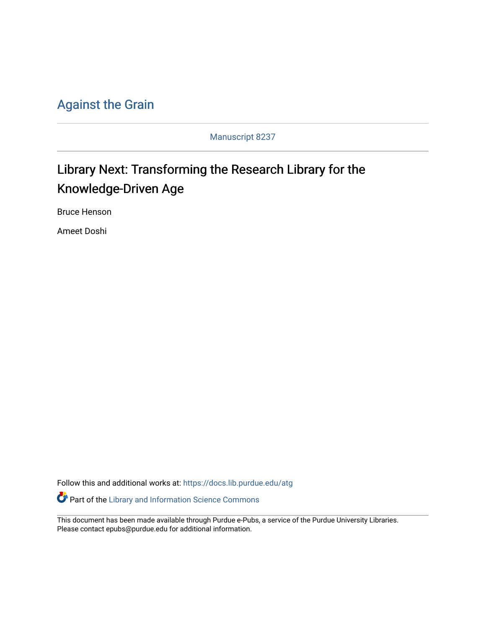### [Against the Grain](https://docs.lib.purdue.edu/atg)

Manuscript 8237

## Library Next: Transforming the Research Library for the Knowledge-Driven Age

Bruce Henson

Ameet Doshi

Follow this and additional works at: [https://docs.lib.purdue.edu/atg](https://docs.lib.purdue.edu/atg?utm_source=docs.lib.purdue.edu%2Fatg%2Fvol30%2Fiss3%2F8&utm_medium=PDF&utm_campaign=PDFCoverPages)

Part of the [Library and Information Science Commons](http://network.bepress.com/hgg/discipline/1018?utm_source=docs.lib.purdue.edu%2Fatg%2Fvol30%2Fiss3%2F8&utm_medium=PDF&utm_campaign=PDFCoverPages) 

This document has been made available through Purdue e-Pubs, a service of the Purdue University Libraries. Please contact epubs@purdue.edu for additional information.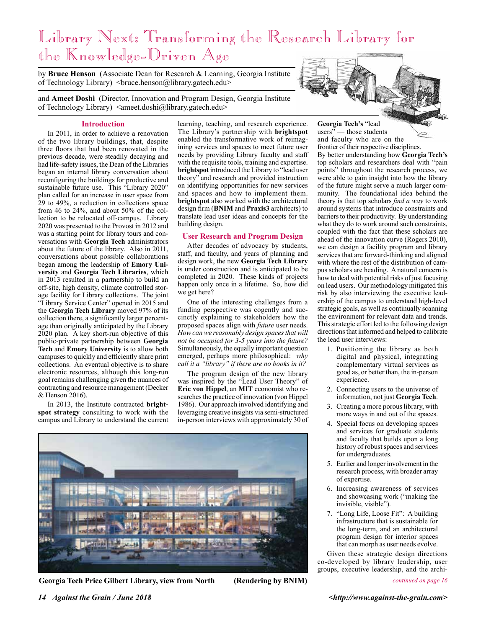# Library Next: Transforming the Research Library for the Knowledge-Driven Age

by **Bruce Henson** (Associate Dean for Research & Learning, Georgia Institute of Technology Library) <br/>bruce.henson@library.gatech.edu>

and **Ameet Doshi** (Director, Innovation and Program Design, Georgia Institute

of Technology Library) <ameet.doshi@library.gatech.edu>

#### **Introduction**

In 2011, in order to achieve a renovation of the two library buildings, that, despite three floors that had been renovated in the previous decade, were steadily decaying and had life-safety issues, the Dean of the Libraries began an internal library conversation about reconfiguring the buildings for productive and sustainable future use. This "Library 2020" plan called for an increase in user space from 29 to 49%, a reduction in collections space from 46 to 24%, and about 50% of the collection to be relocated off-campus. Library 2020 was presented to the Provost in 2012 and was a starting point for library tours and conversations with **Georgia Tech** administrators about the future of the library. Also in 2011, conversations about possible collaborations began among the leadership of **Emory University** and **Georgia Tech Libraries**, which in 2013 resulted in a partnership to build an off-site, high density, climate controlled storage facility for Library collections. The joint "Library Service Center" opened in 2015 and the **Georgia Tech Library** moved 97% of its collection there, a significantly larger percentage than originally anticipated by the Library 2020 plan. A key short-run objective of this public-private partnership between **Georgia Tech** and **Emory University** is to allow both campuses to quickly and efficiently share print collections. An eventual objective is to share electronic resources, although this long-run goal remains challenging given the nuances of contracting and resource management (Decker & Henson 2016).

In 2013, the Institute contracted **brightspot strategy** consulting to work with the campus and Library to understand the current learning, teaching, and research experience. The Library's partnership with **brightspot** enabled the transformative work of reimagining services and spaces to meet future user needs by providing Library faculty and staff with the requisite tools, training and expertise. **brightspot** introduced the Library to "lead user theory" and research and provided instruction on identifying opportunities for new services and spaces and how to implement them. **brightspot** also worked with the architectural design firm (**BNIM** and **Praxis3** architects) to translate lead user ideas and concepts for the building design.

#### **User Research and Program Design**

After decades of advocacy by students, staff, and faculty, and years of planning and design work, the new **Georgia Tech Library**  is under construction and is anticipated to be completed in 2020. These kinds of projects happen only once in a lifetime. So, how did we get here?

One of the interesting challenges from a funding perspective was cogently and succinctly explaining to stakeholders how the proposed spaces align with *future* user needs. *How can we reasonably design spaces that will not be occupied for 3-5 years into the future?* Simultaneously, the equally important question emerged, perhaps more philosophical: *why call it a "library" if there are no books in it?*

The program design of the new library was inspired by the "Lead User Theory" of **Eric von Hippel**, an **MIT** economist who researches the practice of innovation (von Hippel 1986). Our approach involved identifying and leveraging creative insights via semi-structured in-person interviews with approximately 30 of





**Georgia Tech's** "lead users" — those students and faculty who are on the frontier of their respective disciplines. By better understanding how **Georgia Tech's**  top scholars and researchers deal with "pain points" throughout the research process, we were able to gain insight into how the library of the future might serve a much larger community. The foundational idea behind the theory is that top scholars *find a way* to work around systems that introduce constraints and barriers to their productivity. By understanding what they do to work around such constraints, coupled with the fact that these scholars are ahead of the innovation curve (Rogers 2010), we can design a facility program and library services that are forward-thinking and aligned with where the rest of the distribution of campus scholars are heading. A natural concern is how to deal with potential risks of just focusing on lead users. Our methodology mitigated this risk by also interviewing the executive leadership of the campus to understand high-level strategic goals, as well as continually scanning the environment for relevant data and trends. This strategic effort led to the following design directions that informed and helped to calibrate the lead user interviews:

- 1. Positioning the library as both digital and physical, integrating complementary virtual services as good as, or better than, the in-person experience.
- 2. Connecting users to the universe of information, not just **Georgia Tech**.
- 3. Creating a more porous library, with more ways in and out of the spaces.
- 4. Special focus on developing spaces and services for graduate students and faculty that builds upon a long history of robust spaces and services for undergraduates.
- 5. Earlier and longer involvement in the research process, with broader array of expertise.
- 6. Increasing awareness of services and showcasing work ("making the invisible, visible").
- 7. "Long Life, Loose Fit": A building infrastructure that is sustainable for the long-term, and an architectural program design for interior spaces that can morph as user needs evolve.

Given these strategic design directions co-developed by library leadership, user groups, executive leadership, and the archi-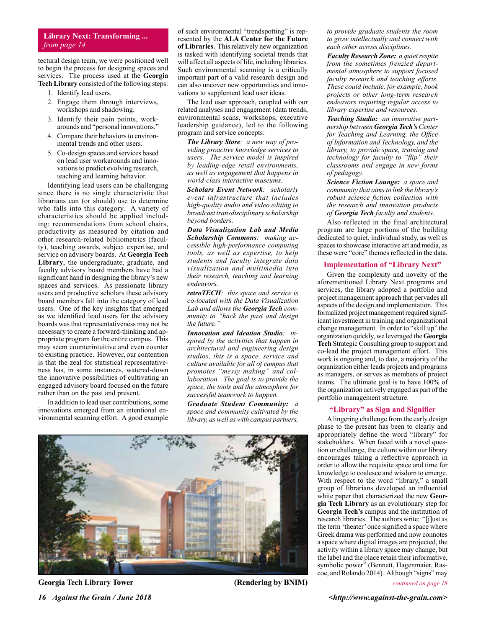#### **Library Next: Transforming ...** *from page 14*

tectural design team, we were positioned well to begin the process for designing spaces and services. The process used at the **Georgia Tech Library** consisted of the following steps:

- 1. Identify lead users.
- 2. Engage them through interviews, workshops and shadowing.
- 3. Identify their pain points, workarounds and "personal innovations."
- 4. Compare their behaviors to environmental trends and other users.
- 5. Co-design spaces and services based on lead user workarounds and innovations to predict evolving research, teaching and learning behavior.

Identifying lead users can be challenging since there is no single characteristic that librarians can (or should) use to determine who falls into this category. A variety of characteristics should be applied including: recommendations from school chairs, productivity as measured by citation and other research-related bibliometrics (faculty), teaching awards, subject expertise, and service on advisory boards. At **Georgia Tech Library**, the undergraduate, graduate, and faculty advisory board members have had a significant hand in designing the library's new spaces and services. As passionate library users and productive scholars these advisory board members fall into the category of lead users. One of the key insights that emerged as we identified lead users for the advisory boards was that representativeness may not be necessary to create a forward-thinking and appropriate program for the entire campus. This may seem counterintuitive and even counter to existing practice. However, our contention is that the zeal for statistical representativeness has, in some instances, watered-down the innovative possibilities of cultivating an engaged advisory board focused on the future rather than on the past and present.

In addition to lead user contributions, some innovations emerged from an intentional environmental scanning effort. A good example

of such environmental "trendspotting" is represented by the **ALA Center for the Future of Libraries**. This relatively new organization is tasked with identifying societal trends that will affect all aspects of life, including libraries. Such environmental scanning is a critically important part of a valid research design and can also uncover new opportunities and innovations to supplement lead user ideas.

The lead user approach, coupled with our related analyses and engagement (data trends, environmental scans, workshops, executive leadership guidance), led to the following program and service concepts:

*The Library Store: a new way of providing proactive knowledge services to users. The service model is inspired by leading-edge retail environments, as well as engagement that happens in world-class interactive museums.*

*Scholars Event Network: scholarly event infrastructure that includes high-quality audio and video editing to broadcast transdisciplinary scholarship beyond borders.* 

*Data Visualization Lab and Media Scholarship Commons: making accessible high-performance computing tools, as well as expertise, to help students and faculty integrate data visualization and multimedia into their research, teaching and learning endeavors.* 

*retroTECH: this space and service is co-located with the Data Visualization Lab and allows the Georgia Tech community to "hack the past and design the future."* 

*Innovation and Ideation Studio: inspired by the activities that happen in architectural and engineering design studios, this is a space, service and culture available for all of campus that promotes "messy making" and collaboration. The goal is to provide the space, the tools and the atmosphere for successful teamwork to happen.* 

*Graduate Student Community: a space and community cultivated by the library, as well as with campus partners,* 



*16 Against the Grain / June 2018 <i>16 Against-the-grain.com> <i>n*<sub>1</sub> *against-the-grain.com> <i>n*<sub>1</sub> *against-the-grain.com>* **Georgia Tech Library Tower (Rendering by BNIM)**

*to provide graduate students the room to grow intellectually and connect with each other across disciplines.* 

*Faculty Research Zone: a quiet respite from the sometimes frenzied departmental atmosphere to support focused faculty research and teaching efforts. These could include, for example, book projects or other long-term research endeavors requiring regular access to library expertise and resources.* 

*Teaching Studio: an innovative partnership between Georgia Tech's Center for Teaching and Learning, the Office of Information and Technology, and the library, to provide space, training and technology for faculty to "flip" their classrooms and engage in new forms of pedagogy.* 

*Science Fiction Lounge: a space and community that aims to link the library's robust science fiction collection with the research and innovation products of Georgia Tech faculty and students.* 

Also reflected in the final architectural program are large portions of the building dedicated to quiet, individual study, as well as spaces to showcase interactive art and media, as these were "core" themes reflected in the data.

#### **Implementation of "Library Next"**

Given the complexity and novelty of the aforementioned Library Next programs and services, the library adopted a portfolio and project management approach that pervades all aspects of the design and implementation. This formalized project management required significant investment in training and organizational change management. In order to "skill up" the organization quickly, we leveraged the **Georgia Tech** Strategic Consulting group to support and co-lead the project management effort. This work is ongoing and, to date, a majority of the organization either leads projects and programs as managers, or serves as members of project teams. The ultimate goal is to have 100% of the organization actively engaged as part of the portfolio management structure.

#### **"Library" as Sign and Signifier**

A lingering challenge from the early design phase to the present has been to clearly and appropriately define the word "library" for stakeholders. When faced with a novel question or challenge, the culture within our library encourages taking a reflective approach in order to allow the requisite space and time for knowledge to coalesce and wisdom to emerge. With respect to the word "library," a small group of librarians developed an influential white paper that characterized the new **Georgia Tech Library** as an evolutionary step for **Georgia Tech's** campus and the institution of research libraries. The authors write: "[j]ust as the term 'theater' once signified a space where Greek drama was performed and now connotes a space where digital images are projected, the activity within a library space may change, but the label and the place retain their informative, symbolic power" (Bennett, Hagenmaier, Rascoe, and Rolando 2014). Although "signs" may